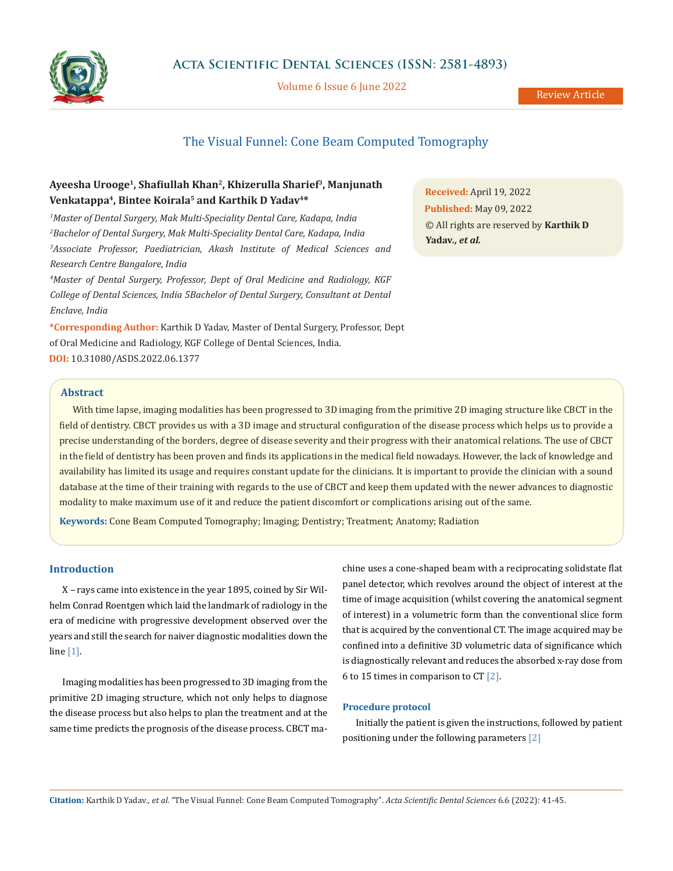

Volume 6 Issue 6 June 2022

# The Visual Funnel: Cone Beam Computed Tomography

# **Ayeesha Urooge1, Shafiullah Khan<sup>2</sup>, Khizerulla Sharief<sup>3</sup>, Manjunath Venkatappa<sup>4</sup>, Bintee Koirala<sup>5</sup> and Karthik D Yadav4\***

 *Master of Dental Surgery, Mak Multi-Speciality Dental Care, Kadapa, India Bachelor of Dental Surgery, Mak Multi-Speciality Dental Care, Kadapa, India Associate Professor, Paediatrician, Akash Institute of Medical Sciences and Research Centre Bangalore, India*

*4 Master of Dental Surgery, Professor, Dept of Oral Medicine and Radiology, KGF College of Dental Sciences, India 5Bachelor of Dental Surgery, Consultant at Dental Enclave, India*

**\*Corresponding Author:** Karthik D Yadav, Master of Dental Surgery, Professor, Dept of Oral Medicine and Radiology, KGF College of Dental Sciences, India. **DOI:** [10.31080/ASDS.2022.06.1377](https://actascientific.com/ASDS/pdf/ASDS-06-1377.pdf)

**Received:** April 19, 2022 **Published:** May 09, 2022 © All rights are reserved by **Karthik D Yadav***., et al.*

# **Abstract**

With time lapse, imaging modalities has been progressed to 3D imaging from the primitive 2D imaging structure like CBCT in the field of dentistry. CBCT provides us with a 3D image and structural configuration of the disease process which helps us to provide a precise understanding of the borders, degree of disease severity and their progress with their anatomical relations. The use of CBCT in the field of dentistry has been proven and finds its applications in the medical field nowadays. However, the lack of knowledge and availability has limited its usage and requires constant update for the clinicians. It is important to provide the clinician with a sound database at the time of their training with regards to the use of CBCT and keep them updated with the newer advances to diagnostic modality to make maximum use of it and reduce the patient discomfort or complications arising out of the same.

**Keywords:** Cone Beam Computed Tomography; Imaging; Dentistry; Treatment; Anatomy; Radiation

# **Introduction**

X – rays came into existence in the year 1895, coined by Sir Wilhelm Conrad Roentgen which laid the landmark of radiology in the era of medicine with progressive development observed over the years and still the search for naiver diagnostic modalities down the line [1].

Imaging modalities has been progressed to 3D imaging from the primitive 2D imaging structure, which not only helps to diagnose the disease process but also helps to plan the treatment and at the same time predicts the prognosis of the disease process. CBCT machine uses a cone-shaped beam with a reciprocating solidstate flat panel detector, which revolves around the object of interest at the time of image acquisition (whilst covering the anatomical segment of interest) in a volumetric form than the conventional slice form that is acquired by the conventional CT. The image acquired may be confined into a definitive 3D volumetric data of significance which is diagnostically relevant and reduces the absorbed x-ray dose from 6 to 15 times in comparison to CT  $[2]$ .

## **Procedure protocol**

Initially the patient is given the instructions, followed by patient positioning under the following parameters [2]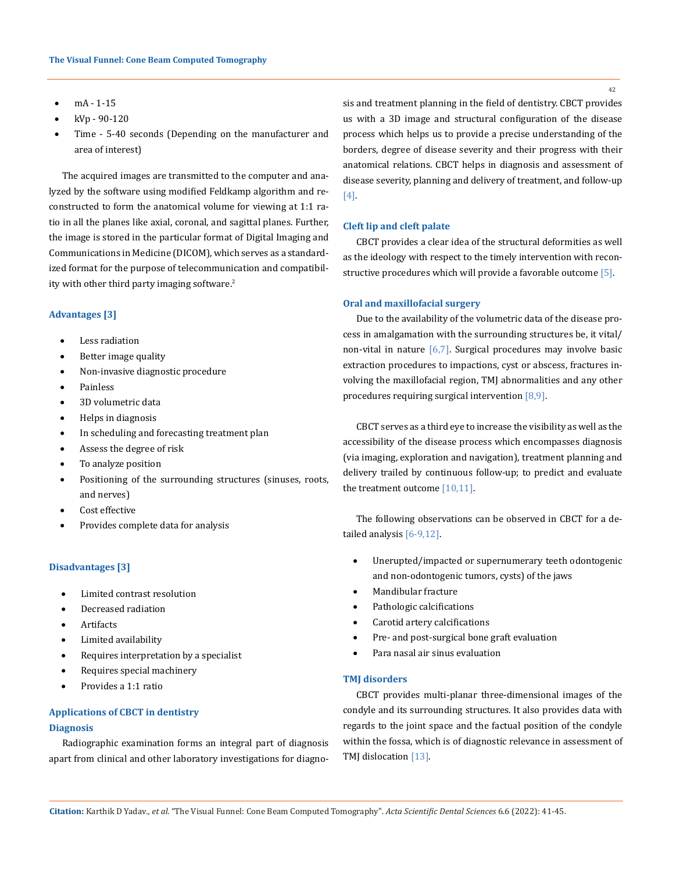- $mA 1-15$
- • kVp 90-120
- Time 5-40 seconds (Depending on the manufacturer and area of interest)

The acquired images are transmitted to the computer and analyzed by the software using modified Feldkamp algorithm and reconstructed to form the anatomical volume for viewing at 1:1 ratio in all the planes like axial, coronal, and sagittal planes. Further, the image is stored in the particular format of Digital Imaging and Communications in Medicine (DICOM), which serves as a standardized format for the purpose of telecommunication and compatibility with other third party imaging software.<sup>2</sup>

# **Advantages [3]**

- Less radiation
- Better image quality
- Non-invasive diagnostic procedure
- **Painless**
- 3D volumetric data
- Helps in diagnosis
- In scheduling and forecasting treatment plan
- Assess the degree of risk
- To analyze position
- Positioning of the surrounding structures (sinuses, roots, and nerves)
- Cost effective
- Provides complete data for analysis

## **Disadvantages [3]**

- Limited contrast resolution
- Decreased radiation
- **Artifacts**
- Limited availability
- Requires interpretation by a specialist
- Requires special machinery
- Provides a 1:1 ratio

# **Applications of CBCT in dentistry**

# **Diagnosis**

Radiographic examination forms an integral part of diagnosis apart from clinical and other laboratory investigations for diagnosis and treatment planning in the field of dentistry. CBCT provides us with a 3D image and structural configuration of the disease process which helps us to provide a precise understanding of the borders, degree of disease severity and their progress with their anatomical relations. CBCT helps in diagnosis and assessment of disease severity, planning and delivery of treatment, and follow-up [4].

### **Cleft lip and cleft palate**

CBCT provides a clear idea of the structural deformities as well as the ideology with respect to the timely intervention with reconstructive procedures which will provide a favorable outcome [5].

## **Oral and maxillofacial surgery**

Due to the availability of the volumetric data of the disease process in amalgamation with the surrounding structures be, it vital/ non-vital in nature [6,7]. Surgical procedures may involve basic extraction procedures to impactions, cyst or abscess, fractures involving the maxillofacial region, TMJ abnormalities and any other procedures requiring surgical intervention [8,9].

CBCT serves as a third eye to increase the visibility as well as the accessibility of the disease process which encompasses diagnosis (via imaging, exploration and navigation), treatment planning and delivery trailed by continuous follow-up; to predict and evaluate the treatment outcome [10,11].

The following observations can be observed in CBCT for a detailed analysis [6-9,12].

- Unerupted/impacted or supernumerary teeth odontogenic and non-odontogenic tumors, cysts) of the jaws
- Mandibular fracture
- • Pathologic calcifications
- • Carotid artery calcifications
- Pre- and post-surgical bone graft evaluation
- Para nasal air sinus evaluation

## **TMJ disorders**

CBCT provides multi-planar three-dimensional images of the condyle and its surrounding structures. It also provides data with regards to the joint space and the factual position of the condyle within the fossa, which is of diagnostic relevance in assessment of TMJ dislocation [13].

42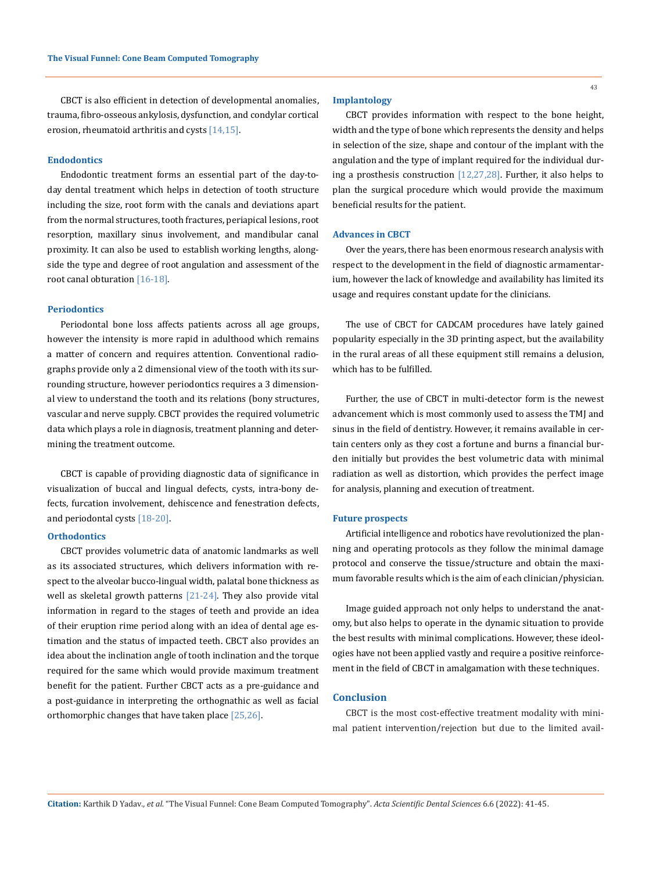CBCT is also efficient in detection of developmental anomalies, trauma, fibro-osseous ankylosis, dysfunction, and condylar cortical erosion, rheumatoid arthritis and cysts [14,15].

## **Endodontics**

Endodontic treatment forms an essential part of the day-today dental treatment which helps in detection of tooth structure including the size, root form with the canals and deviations apart from the normal structures, tooth fractures, periapical lesions, root resorption, maxillary sinus involvement, and mandibular canal proximity. It can also be used to establish working lengths, alongside the type and degree of root angulation and assessment of the root canal obturation [16-18].

## **Periodontics**

Periodontal bone loss affects patients across all age groups, however the intensity is more rapid in adulthood which remains a matter of concern and requires attention. Conventional radiographs provide only a 2 dimensional view of the tooth with its surrounding structure, however periodontics requires a 3 dimensional view to understand the tooth and its relations (bony structures, vascular and nerve supply. CBCT provides the required volumetric data which plays a role in diagnosis, treatment planning and determining the treatment outcome.

CBCT is capable of providing diagnostic data of significance in visualization of buccal and lingual defects, cysts, intra-bony defects, furcation involvement, dehiscence and fenestration defects, and periodontal cysts [18-20].

## **Orthodontics**

CBCT provides volumetric data of anatomic landmarks as well as its associated structures, which delivers information with respect to the alveolar bucco-lingual width, palatal bone thickness as well as skeletal growth patterns [21-24]. They also provide vital information in regard to the stages of teeth and provide an idea of their eruption rime period along with an idea of dental age estimation and the status of impacted teeth. CBCT also provides an idea about the inclination angle of tooth inclination and the torque required for the same which would provide maximum treatment benefit for the patient. Further CBCT acts as a pre-guidance and a post-guidance in interpreting the orthognathic as well as facial orthomorphic changes that have taken place [25,26].

#### **Implantology**

CBCT provides information with respect to the bone height, width and the type of bone which represents the density and helps in selection of the size, shape and contour of the implant with the angulation and the type of implant required for the individual during a prosthesis construction [12,27,28]. Further, it also helps to plan the surgical procedure which would provide the maximum beneficial results for the patient.

#### **Advances in CBCT**

Over the years, there has been enormous research analysis with respect to the development in the field of diagnostic armamentarium, however the lack of knowledge and availability has limited its usage and requires constant update for the clinicians.

The use of CBCT for CADCAM procedures have lately gained popularity especially in the 3D printing aspect, but the availability in the rural areas of all these equipment still remains a delusion, which has to be fulfilled.

Further, the use of CBCT in multi-detector form is the newest advancement which is most commonly used to assess the TMJ and sinus in the field of dentistry. However, it remains available in certain centers only as they cost a fortune and burns a financial burden initially but provides the best volumetric data with minimal radiation as well as distortion, which provides the perfect image for analysis, planning and execution of treatment.

### **Future prospects**

Artificial intelligence and robotics have revolutionized the planning and operating protocols as they follow the minimal damage protocol and conserve the tissue/structure and obtain the maximum favorable results which is the aim of each clinician/physician.

Image guided approach not only helps to understand the anatomy, but also helps to operate in the dynamic situation to provide the best results with minimal complications. However, these ideologies have not been applied vastly and require a positive reinforcement in the field of CBCT in amalgamation with these techniques.

# **Conclusion**

CBCT is the most cost-effective treatment modality with minimal patient intervention/rejection but due to the limited avail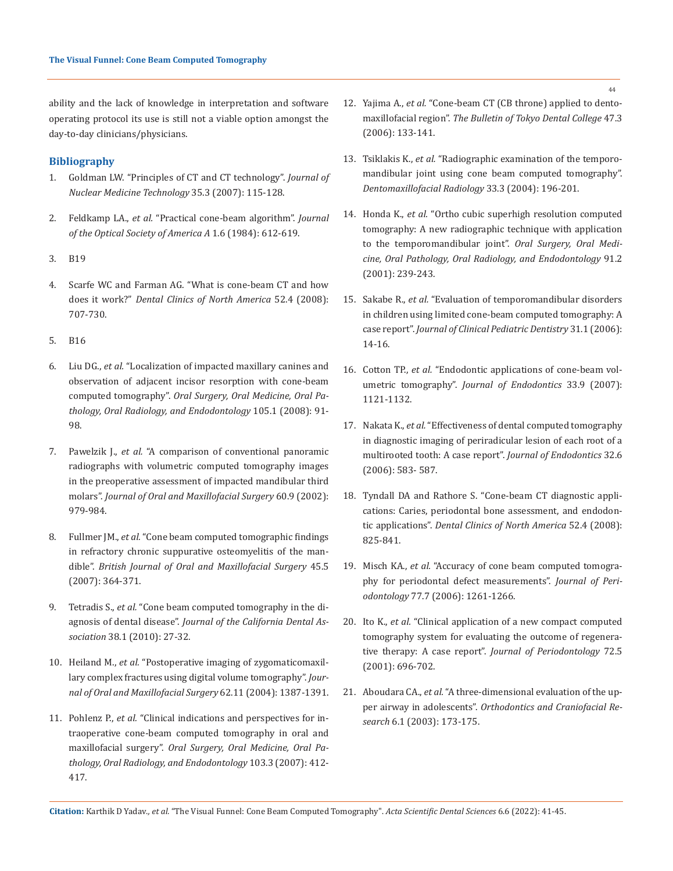ability and the lack of knowledge in interpretation and software operating protocol its use is still not a viable option amongst the day-to-day clinicians/physicians.

## **Bibliography**

- 1. [Goldman LW. "Principles of CT and CT technology".](https://tech.snmjournals.org/content/35/3/115) *Journal of [Nuclear Medicine Technology](https://tech.snmjournals.org/content/35/3/115)* 35.3 (2007): 115-128.
- 2. Feldkamp LA., *et al.* ["Practical cone-beam algorithm".](https://www.semanticscholar.org/paper/Practical-cone-beam-algorithm-Feldkamp-Davis/ae0ae3baf338f5454d58074d58386246eb5009e5) *Journal [of the Optical Society of America A](https://www.semanticscholar.org/paper/Practical-cone-beam-algorithm-Feldkamp-Davis/ae0ae3baf338f5454d58074d58386246eb5009e5)* 1.6 (1984): 612-619.
- 3. B19
- 4. [Scarfe WC and Farman AG. "What is cone-beam CT and how](https://pubmed.ncbi.nlm.nih.gov/18805225/)  does it work?" *[Dental Clinics of North America](https://pubmed.ncbi.nlm.nih.gov/18805225/)* 52.4 (2008): [707-730.](https://pubmed.ncbi.nlm.nih.gov/18805225/)
- 5. B16
- 6. Liu DG., *et al.* ["Localization of impacted maxillary canines and](https://pubmed.ncbi.nlm.nih.gov/17507268/)  [observation of adjacent incisor resorption with cone-beam](https://pubmed.ncbi.nlm.nih.gov/17507268/)  computed tomography". *[Oral Surgery, Oral Medicine, Oral Pa](https://pubmed.ncbi.nlm.nih.gov/17507268/)[thology, Oral Radiology, and Endodontology](https://pubmed.ncbi.nlm.nih.gov/17507268/)* 105.1 (2008): 91- [98.](https://pubmed.ncbi.nlm.nih.gov/17507268/)
- 7. Pawelzik J., *et al.* ["A comparison of conventional panoramic](https://pubmed.ncbi.nlm.nih.gov/12215976/)  [radiographs with volumetric computed tomography images](https://pubmed.ncbi.nlm.nih.gov/12215976/)  [in the preoperative assessment of impacted mandibular third](https://pubmed.ncbi.nlm.nih.gov/12215976/)  molars". *[Journal of Oral and Maxillofacial Surgery](https://pubmed.ncbi.nlm.nih.gov/12215976/)* 60.9 (2002): [979-984.](https://pubmed.ncbi.nlm.nih.gov/12215976/)
- 8. Fullmer JM., *et al.* ["Cone beam computed tomographic findings](https://pubmed.ncbi.nlm.nih.gov/17097778/)  [in refractory chronic suppurative osteomyelitis of the man](https://pubmed.ncbi.nlm.nih.gov/17097778/)dible". *[British Journal of Oral and Maxillofacial Surgery](https://pubmed.ncbi.nlm.nih.gov/17097778/)* 45.5 [\(2007\): 364-371.](https://pubmed.ncbi.nlm.nih.gov/17097778/)
- 9. Tetradis S., *et al.* ["Cone beam computed tomography in the di](https://pubmed.ncbi.nlm.nih.gov/20178224/)agnosis of dental disease". *[Journal of the California Dental As](https://pubmed.ncbi.nlm.nih.gov/20178224/)sociation* [38.1 \(2010\): 27-32.](https://pubmed.ncbi.nlm.nih.gov/20178224/)
- 10. Heiland M., *et al.* ["Postoperative imaging of zygomaticomaxil](https://pubmed.ncbi.nlm.nih.gov/15510360/)[lary complex fractures using digital volume tomography".](https://pubmed.ncbi.nlm.nih.gov/15510360/) *Jour[nal of Oral and Maxillofacial Surgery](https://pubmed.ncbi.nlm.nih.gov/15510360/)* 62.11 (2004): 1387-1391.
- 11. Pohlenz P., *et al.* ["Clinical indications and perspectives for in](https://pubmed.ncbi.nlm.nih.gov/17321455/)[traoperative cone-beam computed tomography in oral and](https://pubmed.ncbi.nlm.nih.gov/17321455/)  maxillofacial surgery". *[Oral Surgery, Oral Medicine, Oral Pa](https://pubmed.ncbi.nlm.nih.gov/17321455/)[thology, Oral Radiology, and Endodontology](https://pubmed.ncbi.nlm.nih.gov/17321455/)* 103.3 (2007): 412- [417.](https://pubmed.ncbi.nlm.nih.gov/17321455/)
- 12. Yajima A., *et al.* ["Cone-beam CT \(CB throne\) applied to dento](https://pubmed.ncbi.nlm.nih.gov/17344621/)maxillofacial region". *[The Bulletin of Tokyo Dental College](https://pubmed.ncbi.nlm.nih.gov/17344621/)* 47.3 [\(2006\): 133-141.](https://pubmed.ncbi.nlm.nih.gov/17344621/)
- 13. Tsiklakis K., *et al.* ["Radiographic examination of the temporo](https://pubmed.ncbi.nlm.nih.gov/15371321/)[mandibular joint using cone beam computed tomography".](https://pubmed.ncbi.nlm.nih.gov/15371321/)  *[Dentomaxillofacial Radiology](https://pubmed.ncbi.nlm.nih.gov/15371321/)* 33.3 (2004): 196-201.
- 14. Honda K., *et al.* ["Ortho cubic superhigh resolution computed](https://pubmed.ncbi.nlm.nih.gov/11174604/)  [tomography: A new radiographic technique with application](https://pubmed.ncbi.nlm.nih.gov/11174604/)  [to the temporomandibular joint".](https://pubmed.ncbi.nlm.nih.gov/11174604/) *Oral Surgery, Oral Medi[cine, Oral Pathology, Oral Radiology, and Endodontology](https://pubmed.ncbi.nlm.nih.gov/11174604/)* 91.2 [\(2001\): 239-243.](https://pubmed.ncbi.nlm.nih.gov/11174604/)
- 15. Sakabe R., *et al.* ["Evaluation of temporomandibular disorders](https://pubmed.ncbi.nlm.nih.gov/17091650/)  [in children using limited cone-beam computed tomography: A](https://pubmed.ncbi.nlm.nih.gov/17091650/)  case report". *[Journal of Clinical Pediatric Dentistry](https://pubmed.ncbi.nlm.nih.gov/17091650/)* 31.1 (2006): [14-16.](https://pubmed.ncbi.nlm.nih.gov/17091650/)
- 16. Cotton TP., *et al.* ["Endodontic applications of cone-beam vol](https://pubmed.ncbi.nlm.nih.gov/17931947/)umetric tomography". *[Journal of Endodontics](https://pubmed.ncbi.nlm.nih.gov/17931947/)* 33.9 (2007): [1121-1132.](https://pubmed.ncbi.nlm.nih.gov/17931947/)
- 17. Nakata K., *et al.* ["Effectiveness of dental computed tomography](https://pubmed.ncbi.nlm.nih.gov/16728257/)  [in diagnostic imaging of periradicular lesion of each root of a](https://pubmed.ncbi.nlm.nih.gov/16728257/)  [multirooted tooth: A case report".](https://pubmed.ncbi.nlm.nih.gov/16728257/) *Journal of Endodontics* 32.6 [\(2006\): 583- 587.](https://pubmed.ncbi.nlm.nih.gov/16728257/)
- 18. [Tyndall DA and Rathore S. "Cone-beam CT diagnostic appli](https://pubmed.ncbi.nlm.nih.gov/18805231/)[cations: Caries, periodontal bone assessment, and endodon](https://pubmed.ncbi.nlm.nih.gov/18805231/)tic applications". *[Dental Clinics of North America](https://pubmed.ncbi.nlm.nih.gov/18805231/)* 52.4 (2008): [825-841.](https://pubmed.ncbi.nlm.nih.gov/18805231/)
- 19. Misch KA., *et al.* ["Accuracy of cone beam computed tomogra](https://pubmed.ncbi.nlm.nih.gov/16805691/)[phy for periodontal defect measurements".](https://pubmed.ncbi.nlm.nih.gov/16805691/) *Journal of Periodontology* [77.7 \(2006\): 1261-1266.](https://pubmed.ncbi.nlm.nih.gov/16805691/)
- 20. Ito K., *et al.* ["Clinical application of a new compact computed](https://pubmed.ncbi.nlm.nih.gov/11394408/)  [tomography system for evaluating the outcome of regenera](https://pubmed.ncbi.nlm.nih.gov/11394408/)tive therapy: A case report". *[Journal of Periodontology](https://pubmed.ncbi.nlm.nih.gov/11394408/)* 72.5 [\(2001\): 696-702.](https://pubmed.ncbi.nlm.nih.gov/11394408/)
- 21. Aboudara CA., *et al.* ["A three-dimensional evaluation of the up](https://pubmed.ncbi.nlm.nih.gov/14606553/)per airway in adolescents". *[Orthodontics and Craniofacial Re](https://pubmed.ncbi.nlm.nih.gov/14606553/)search* [6.1 \(2003\): 173-175.](https://pubmed.ncbi.nlm.nih.gov/14606553/)

**Citation:** Karthik D Yadav*., et al.* "The Visual Funnel: Cone Beam Computed Tomography". *Acta Scientific Dental Sciences* 6.6 (2022): 41-45.

 $AA$